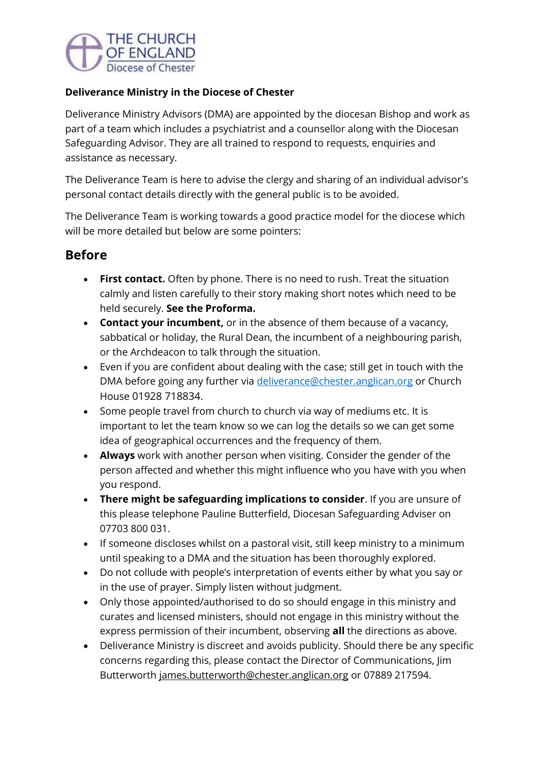

#### **Deliverance Ministry in the Diocese of Chester**

Deliverance Ministry Advisors (DMA) are appointed by the diocesan Bishop and work as part of a team which includes a psychiatrist and a counsellor along with the Diocesan Safeguarding Advisor. They are all trained to respond to requests, enquiries and assistance as necessary.

The Deliverance Team is here to advise the clergy and sharing of an individual advisor's personal contact details directly with the general public is to be avoided.

The Deliverance Team is working towards a good practice model for the diocese which will be more detailed but below are some pointers:

## **Before**

- **First contact.** Often by phone. There is no need to rush. Treat the situation calmly and listen carefully to their story making short notes which need to be held securely. **See the Proforma.**
- **Contact your incumbent,** or in the absence of them because of a vacancy, sabbatical or holiday, the Rural Dean, the incumbent of a neighbouring parish, or the Archdeacon to talk through the situation.
- Even if you are confident about dealing with the case; still get in touch with the DMA before going any further via [deliverance@chester.anglican.org](mailto:deliverance@chester.anglican.org) or Church House 01928 718834.
- Some people travel from church to church via way of mediums etc. It is important to let the team know so we can log the details so we can get some idea of geographical occurrences and the frequency of them.
- **Always** work with another person when visiting. Consider the gender of the person affected and whether this might influence who you have with you when you respond.
- **There might be safeguarding implications to consider**. If you are unsure of this please telephone Pauline Butterfield, Diocesan Safeguarding Adviser on 07703 800 031.
- If someone discloses whilst on a pastoral visit, still keep ministry to a minimum until speaking to a DMA and the situation has been thoroughly explored.
- Do not collude with people's interpretation of events either by what you say or in the use of prayer. Simply listen without judgment.
- Only those appointed/authorised to do so should engage in this ministry and curates and licensed ministers, should not engage in this ministry without the express permission of their incumbent, observing **all** the directions as above.
- Deliverance Ministry is discreet and avoids publicity. Should there be any specific concerns regarding this, please contact the Director of Communications, Jim Butterworth [james.butterworth@chester.anglican.org](mailto:james.butterworth@chester.anglican.org) or 07889 217594.